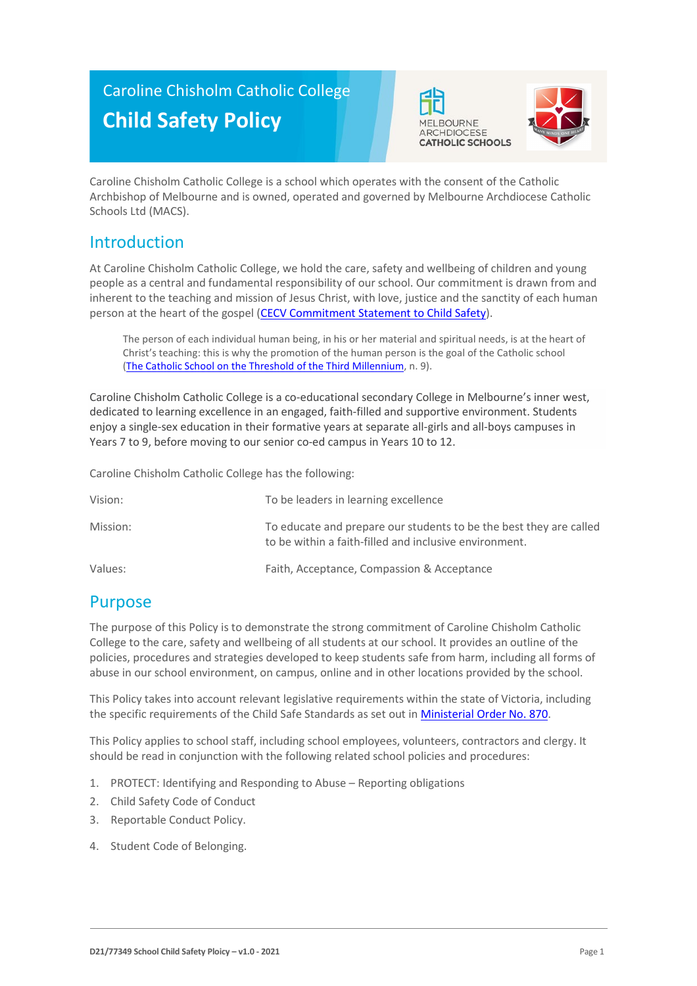# Caroline Chisholm Catholic College **Child Safety Policy**





Caroline Chisholm Catholic College is a school which operates with the consent of the Catholic Archbishop of Melbourne and is owned, operated and governed by Melbourne Archdiocese Catholic Schools Ltd (MACS).

# Introduction

At Caroline Chisholm Catholic College, we hold the care, safety and wellbeing of children and young people as a central and fundamental responsibility of our school. Our commitment is drawn from and inherent to the teaching and mission of Jesus Christ, with love, justice and the sanctity of each human person at the heart of the gospel [\(CECV Commitment Statement to Child Safety\)](https://www.cecv.catholic.edu.au/getmedia/b5d43278-51b9-4704-b45a-f14e50546a70/Commitment-Statement-A4.aspx).

The person of each individual human being, in his or her material and spiritual needs, is at the heart of Christ's teaching: this is why the promotion of the human person is the goal of the Catholic school [\(The Catholic School on the Threshold of the Third Millennium,](http://www.vatican.va/roman_curia/congregations/ccatheduc/documents/rc_con_ccatheduc_doc_27041998_school2000_en.html) n. 9).

Caroline Chisholm Catholic College is a co-educational secondary College in Melbourne's inner west, dedicated to learning excellence in an engaged, faith-filled and supportive environment. Students enjoy a single-sex education in their formative years at separate all-girls and all-boys campuses in Years 7 to 9, before moving to our senior co-ed campus in Years 10 to 12.

Caroline Chisholm Catholic College has the following:

| Vision:  | To be leaders in learning excellence                                                                                         |
|----------|------------------------------------------------------------------------------------------------------------------------------|
| Mission: | To educate and prepare our students to be the best they are called<br>to be within a faith-filled and inclusive environment. |
| Values:  | Faith, Acceptance, Compassion & Acceptance                                                                                   |

### Purpose

The purpose of this Policy is to demonstrate the strong commitment of Caroline Chisholm Catholic College to the care, safety and wellbeing of all students at our school. It provides an outline of the policies, procedures and strategies developed to keep students safe from harm, including all forms of abuse in our school environment, on campus, online and in other locations provided by the school.

This Policy takes into account relevant legislative requirements within the state of Victoria, including the specific requirements of the Child Safe Standards as set out in [Ministerial Order No. 870.](http://www.gazette.vic.gov.au/gazette/Gazettes2016/GG2016S002.pdf)

This Policy applies to school staff, including school employees, volunteers, contractors and clergy. It should be read in conjunction with the following related school policies and procedures:

- 1. PROTECT: Identifying and Responding to Abuse Reporting obligations
- 2. Child Safety Code of Conduct
- 3. Reportable Conduct Policy.
- 4. Student Code of Belonging.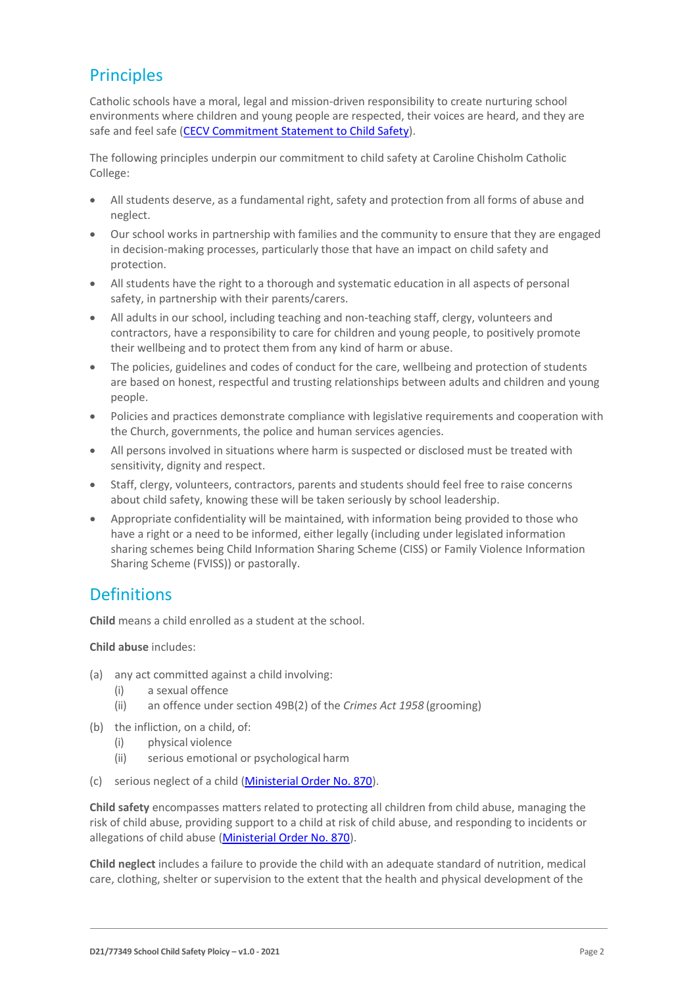# **Principles**

Catholic schools have a moral, legal and mission-driven responsibility to create nurturing school environments where children and young people are respected, their voices are heard, and they are safe and feel safe [\(CECV Commitment Statement to Child Safety\)](https://www.cecv.catholic.edu.au/getmedia/b5d43278-51b9-4704-b45a-f14e50546a70/Commitment-Statement-A4.aspx).

The following principles underpin our commitment to child safety at Caroline Chisholm Catholic College:

- All students deserve, as a fundamental right, safety and protection from all forms of abuse and neglect.
- Our school works in partnership with families and the community to ensure that they are engaged in decision-making processes, particularly those that have an impact on child safety and protection.
- All students have the right to a thorough and systematic education in all aspects of personal safety, in partnership with their parents/carers.
- All adults in our school, including teaching and non-teaching staff, clergy, volunteers and contractors, have a responsibility to care for children and young people, to positively promote their wellbeing and to protect them from any kind of harm or abuse.
- The policies, guidelines and codes of conduct for the care, wellbeing and protection of students are based on honest, respectful and trusting relationships between adults and children and young people.
- Policies and practices demonstrate compliance with legislative requirements and cooperation with the Church, governments, the police and human services agencies.
- All persons involved in situations where harm is suspected or disclosed must be treated with sensitivity, dignity and respect.
- Staff, clergy, volunteers, contractors, parents and students should feel free to raise concerns about child safety, knowing these will be taken seriously by school leadership.
- Appropriate confidentiality will be maintained, with information being provided to those who have a right or a need to be informed, either legally (including under legislated information sharing schemes being Child Information Sharing Scheme (CISS) or Family Violence Information Sharing Scheme (FVISS)) or pastorally.

### **Definitions**

**Child** means a child enrolled as a student at the school.

**Child abuse** includes:

- (a) any act committed against a child involving:
	- (i) a sexual offence
	- (ii) an offence under section 49B(2) of the *Crimes Act 1958* (grooming)
- (b) the infliction, on a child, of:
	- (i) physical violence
	- (ii) serious emotional or psychological harm
- (c) serious neglect of a child [\(Ministerial Order No. 870\)](http://www.gazette.vic.gov.au/gazette/Gazettes2016/GG2016S002.pdf).

**Child safety** encompasses matters related to protecting all children from child abuse, managing the risk of child abuse, providing support to a child at risk of child abuse, and responding to incidents or allegations of child abuse [\(Ministerial Order No. 870\)](http://www.gazette.vic.gov.au/gazette/Gazettes2016/GG2016S002.pdf).

**Child neglect** includes a failure to provide the child with an adequate standard of nutrition, medical care, clothing, shelter or supervision to the extent that the health and physical development of the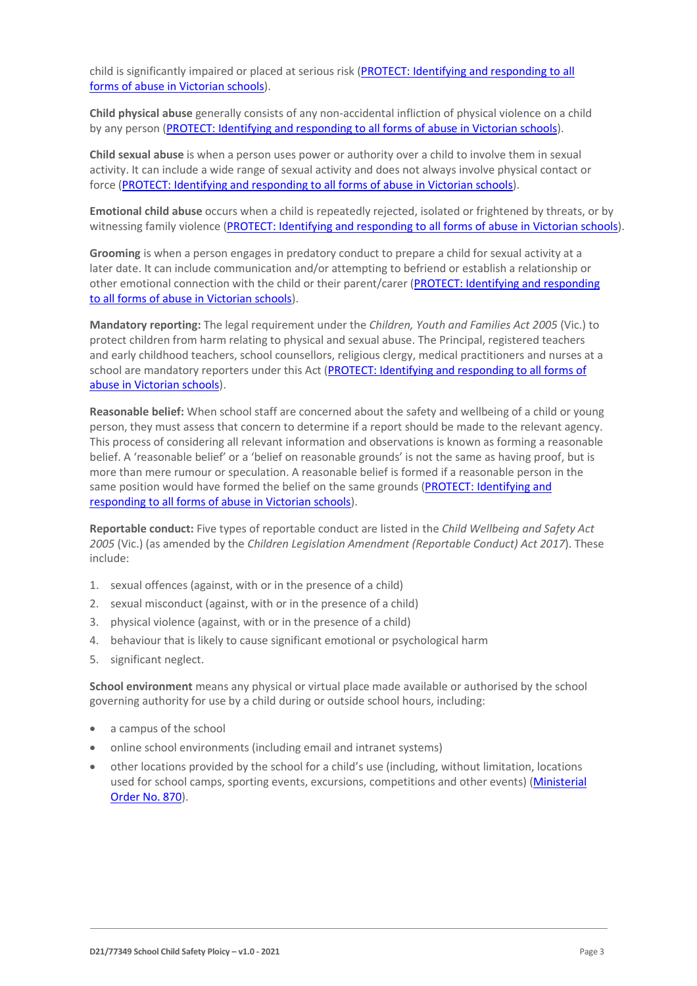child is significantly impaired or placed at serious risk [\(PROTECT: Identifying and responding to all](http://www.cecv.catholic.edu.au/getmedia/ebe135a4-d1b3-48a0-81fe-50d4fc451bcd/Identifying-and-Responding-to-All-Forms-of-Abuse.aspx#page%3D27)  [forms of abuse in Victorian schools\)](http://www.cecv.catholic.edu.au/getmedia/ebe135a4-d1b3-48a0-81fe-50d4fc451bcd/Identifying-and-Responding-to-All-Forms-of-Abuse.aspx#page%3D27).

**Child physical abuse** generally consists of any non-accidental infliction of physical violence on a child by any person [\(PROTECT: Identifying and responding to all forms of abuse in Victorian schools\)](https://www.cecv.catholic.edu.au/getmedia/ebe135a4-d1b3-48a0-81fe-50d4fc451bcd/Identifying-and-Responding-to-All-Forms-of-Abuse.aspx#page%3D15).

**Child sexual abuse** is when a person uses power or authority over a child to involve them in sexual activity. It can include a wide range of sexual activity and does not always involve physical contact or force [\(PROTECT: Identifying and responding to](https://www.cecv.catholic.edu.au/getmedia/ebe135a4-d1b3-48a0-81fe-50d4fc451bcd/Identifying-and-Responding-to-All-Forms-of-Abuse.aspx#page%3D17) all forms of abuse in Victorian schools).

**Emotional child abuse** occurs when a child is repeatedly rejected, isolated or frightened by threats, or by witnessing family violence [\(PROTECT: Identifying and responding to all forms of abuse in Victorian schools\)](https://www.cecv.catholic.edu.au/getmedia/ebe135a4-d1b3-48a0-81fe-50d4fc451bcd/Identifying-and-Responding-to-All-Forms-of-Abuse.aspx#page%3D26).

**Grooming** is when a person engages in predatory conduct to prepare a child for sexual activity at a later date. It can include communication and/or attempting to befriend or establish a relationship or other emotional connection with the child or their parent/carer [\(PROTECT: Identifying and responding](https://www.cecv.catholic.edu.au/getmedia/ebe135a4-d1b3-48a0-81fe-50d4fc451bcd/Identifying-and-Responding-to-All-Forms-of-Abuse.aspx#page%3D20)  [to all forms of abuse in Victorian schools\)](https://www.cecv.catholic.edu.au/getmedia/ebe135a4-d1b3-48a0-81fe-50d4fc451bcd/Identifying-and-Responding-to-All-Forms-of-Abuse.aspx#page%3D20).

**Mandatory reporting:** The legal requirement under the *Children, Youth and Families Act 2005* (Vic.) to protect children from harm relating to physical and sexual abuse. The Principal, registered teachers and early childhood teachers, school counsellors, religious clergy, medical practitioners and nurses at a school are mandatory reporters under this Act [\(PROTECT: Identifying and responding to all forms of](http://www.cecv.catholic.edu.au/getmedia/ebe135a4-d1b3-48a0-81fe-50d4fc451bcd/Identifying-and-Responding-to-All-Forms-of-Abuse.aspx#page%3D8)  [abuse in Victorian schools\)](http://www.cecv.catholic.edu.au/getmedia/ebe135a4-d1b3-48a0-81fe-50d4fc451bcd/Identifying-and-Responding-to-All-Forms-of-Abuse.aspx#page%3D8).

**Reasonable belief:** When school staff are concerned about the safety and wellbeing of a child or young person, they must assess that concern to determine if a report should be made to the relevant agency. This process of considering all relevant information and observations is known as forming a reasonable belief. A 'reasonable belief' or a 'belief on reasonable grounds' is not the same as having proof, but is more than mere rumour or speculation. A reasonable belief is formed if a reasonable person in the same position would have formed the belief on the same grounds [\(PROTECT: Identifying and](http://www.cecv.catholic.edu.au/getmedia/ebe135a4-d1b3-48a0-81fe-50d4fc451bcd/Identifying-and-Responding-to-All-Forms-of-Abuse.aspx#page%3D35)  [responding to all forms of abuse in Victorian schools\)](http://www.cecv.catholic.edu.au/getmedia/ebe135a4-d1b3-48a0-81fe-50d4fc451bcd/Identifying-and-Responding-to-All-Forms-of-Abuse.aspx#page%3D35).

**Reportable conduct:** Five types of reportable conduct are listed in the *Child Wellbeing and Safety Act 2005* (Vic.) (as amended by the *Children Legislation Amendment (Reportable Conduct) Act 2017*). These include:

- 1. sexual offences (against, with or in the presence of a child)
- 2. sexual misconduct (against, with or in the presence of a child)
- 3. physical violence (against, with or in the presence of a child)
- 4. behaviour that is likely to cause significant emotional or psychological harm
- 5. significant neglect.

**School environment** means any physical or virtual place made available or authorised by the school governing authority for use by a child during or outside school hours, including:

- a campus of the school
- online school environments (including email and intranet systems)
- other locations provided by the school for a child's use (including, without limitation, locations used for school camps, sporting events, excursions, competitions and other events) [\(Ministerial](http://www.gazette.vic.gov.au/gazette/Gazettes2016/GG2016S002.pdf)  [Order No. 870\)](http://www.gazette.vic.gov.au/gazette/Gazettes2016/GG2016S002.pdf).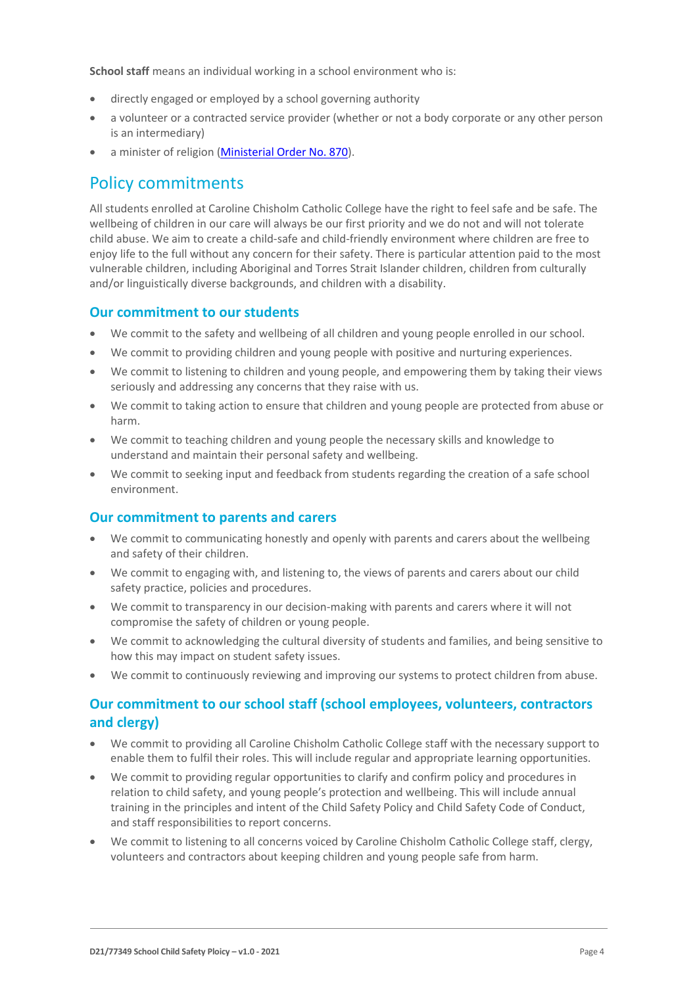**School staff** means an individual working in a school environment who is:

- directly engaged or employed by a school governing authority
- a volunteer or a contracted service provider (whether or not a body corporate or any other person is an intermediary)
- a minister of religion [\(Ministerial Order No. 870\)](http://www.gazette.vic.gov.au/gazette/Gazettes2016/GG2016S002.pdf).

#### Policy commitments

All students enrolled at Caroline Chisholm Catholic College have the right to feel safe and be safe. The wellbeing of children in our care will always be our first priority and we do not and will not tolerate child abuse. We aim to create a child-safe and child-friendly environment where children are free to enjoy life to the full without any concern for their safety. There is particular attention paid to the most vulnerable children, including Aboriginal and Torres Strait Islander children, children from culturally and/or linguistically diverse backgrounds, and children with a disability.

#### **Our commitment to our students**

- We commit to the safety and wellbeing of all children and young people enrolled in our school.
- We commit to providing children and young people with positive and nurturing experiences.
- We commit to listening to children and young people, and empowering them by taking their views seriously and addressing any concerns that they raise with us.
- We commit to taking action to ensure that children and young people are protected from abuse or harm.
- We commit to teaching children and young people the necessary skills and knowledge to understand and maintain their personal safety and wellbeing.
- We commit to seeking input and feedback from students regarding the creation of a safe school environment.

#### **Our commitment to parents and carers**

- We commit to communicating honestly and openly with parents and carers about the wellbeing and safety of their children.
- We commit to engaging with, and listening to, the views of parents and carers about our child safety practice, policies and procedures.
- We commit to transparency in our decision-making with parents and carers where it will not compromise the safety of children or young people.
- We commit to acknowledging the cultural diversity of students and families, and being sensitive to how this may impact on student safety issues.
- We commit to continuously reviewing and improving our systems to protect children from abuse.

#### **Our commitment to our school staff (school employees, volunteers, contractors and clergy)**

- We commit to providing all Caroline Chisholm Catholic College staff with the necessary support to enable them to fulfil their roles. This will include regular and appropriate learning opportunities.
- We commit to providing regular opportunities to clarify and confirm policy and procedures in relation to child safety, and young people's protection and wellbeing. This will include annual training in the principles and intent of the Child Safety Policy and Child Safety Code of Conduct, and staff responsibilities to report concerns.
- We commit to listening to all concerns voiced by Caroline Chisholm Catholic College staff, clergy, volunteers and contractors about keeping children and young people safe from harm.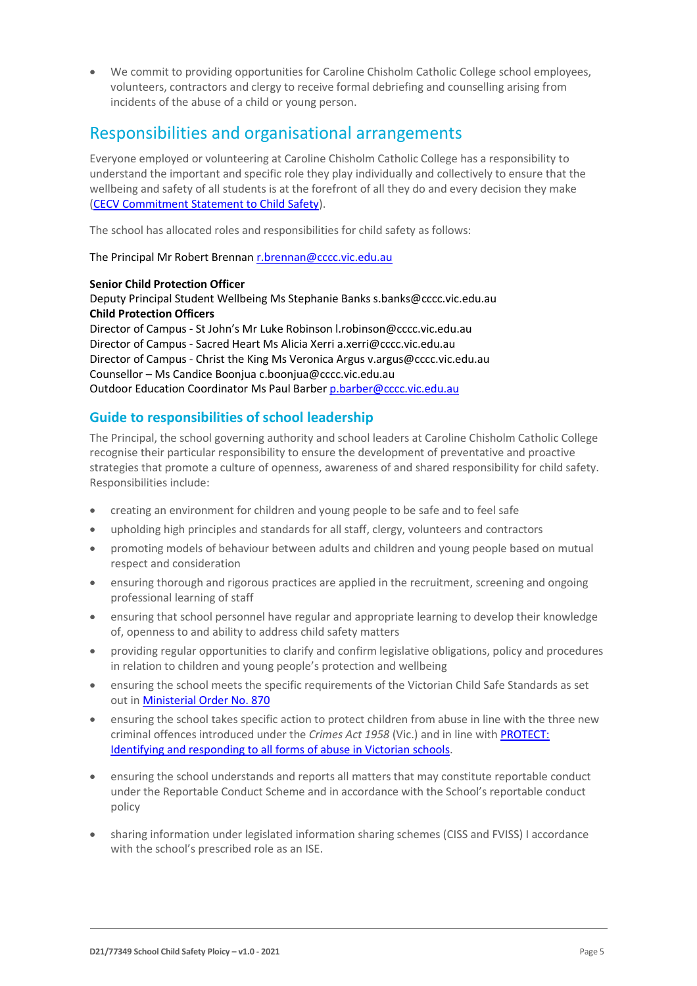• We commit to providing opportunities for Caroline Chisholm Catholic College school employees, volunteers, contractors and clergy to receive formal debriefing and counselling arising from incidents of the abuse of a child or young person.

### Responsibilities and organisational arrangements

Everyone employed or volunteering at Caroline Chisholm Catholic College has a responsibility to understand the important and specific role they play individually and collectively to ensure that the wellbeing and safety of all students is at the forefront of all they do and every decision they make [\(CECV Commitment Statement to Child Safety\)](https://www.cecv.catholic.edu.au/getmedia/b5d43278-51b9-4704-b45a-f14e50546a70/Commitment-Statement-A4.aspx).

The school has allocated roles and responsibilities for child safety as follows:

The Principal Mr Robert Brennan [r.brennan@cccc.vic.edu.au](mailto:r.brennan@cccc.vic.edu.au)

#### **Senior Child Protection Officer**

Deputy Principal Student Wellbeing Ms Stephanie Banks s.banks@cccc.vic.edu.au **Child Protection Officers** Director of Campus - St John's Mr Luke Robinson l.robinson@cccc.vic.edu.au Director of Campus - Sacred Heart Ms Alicia Xerri a.xerri@cccc.vic.edu.au Director of Campus - Christ the King Ms Veronica Argus v.argus@cccc.vic.edu.au Counsellor – Ms Candice Boonjua c.boonjua@cccc.vic.edu.au Outdoor Education Coordinator Ms Paul Barbe[r p.barber@cccc.vic.edu.au](mailto:p.barber@cccc.vic.edu.au)

#### **Guide to responsibilities of school leadership**

The Principal, the school governing authority and school leaders at Caroline Chisholm Catholic College recognise their particular responsibility to ensure the development of preventative and proactive strategies that promote a culture of openness, awareness of and shared responsibility for child safety. Responsibilities include:

- creating an environment for children and young people to be safe and to feel safe
- upholding high principles and standards for all staff, clergy, volunteers and contractors
- promoting models of behaviour between adults and children and young people based on mutual respect and consideration
- ensuring thorough and rigorous practices are applied in the recruitment, screening and ongoing professional learning of staff
- ensuring that school personnel have regular and appropriate learning to develop their knowledge of, openness to and ability to address child safety matters
- providing regular opportunities to clarify and confirm legislative obligations, policy and procedures in relation to children and young people's protection and wellbeing
- ensuring the school meets the specific requirements of the Victorian Child Safe Standards as set out i[n Ministerial Order No. 870](http://www.gazette.vic.gov.au/gazette/Gazettes2016/GG2016S002.pdf)
- ensuring the school takes specific action to protect children from abuse in line with the three new criminal offences introduced under the *Crimes Act 1958* (Vic.) and in line with [PROTECT:](http://www.cecv.catholic.edu.au/getmedia/ebe135a4-d1b3-48a0-81fe-50d4fc451bcd/Identifying-and-Responding-to-All-Forms-of-Abuse.aspx)  [Identifying and responding to all forms of abuse in Victorian schools.](http://www.cecv.catholic.edu.au/getmedia/ebe135a4-d1b3-48a0-81fe-50d4fc451bcd/Identifying-and-Responding-to-All-Forms-of-Abuse.aspx)
- ensuring the school understands and reports all matters that may constitute reportable conduct under the Reportable Conduct Scheme and in accordance with the School's reportable conduct policy
- sharing information under legislated information sharing schemes (CISS and FVISS) I accordance with the school's prescribed role as an ISE.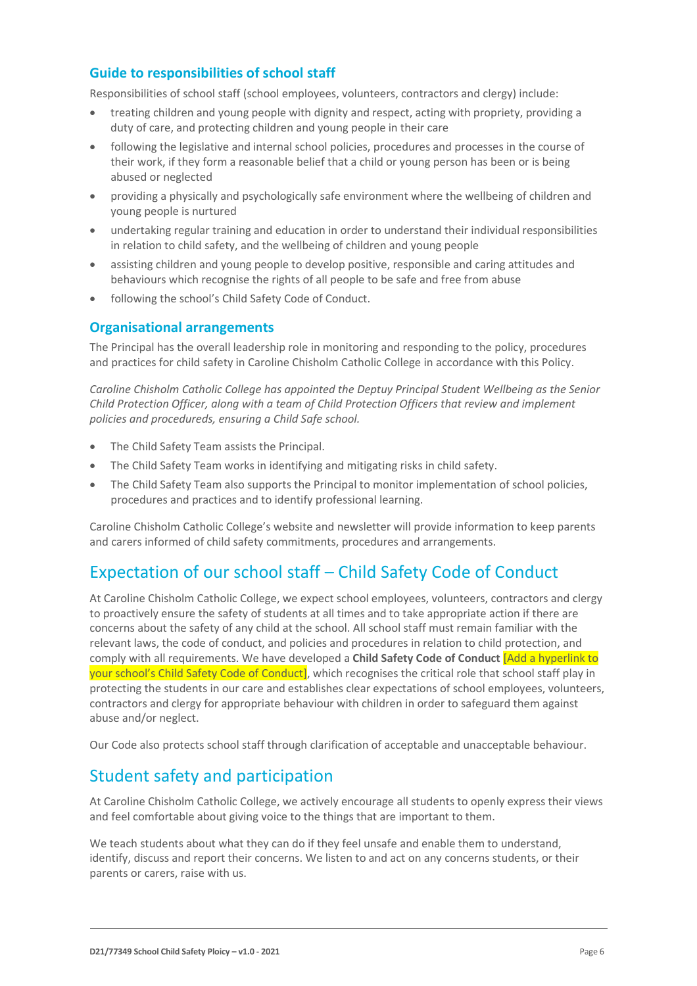#### **Guide to responsibilities of school staff**

Responsibilities of school staff (school employees, volunteers, contractors and clergy) include:

- treating children and young people with dignity and respect, acting with propriety, providing a duty of care, and protecting children and young people in their care
- following the legislative and internal school policies, procedures and processes in the course of their work, if they form a reasonable belief that a child or young person has been or is being abused or neglected
- providing a physically and psychologically safe environment where the wellbeing of children and young people is nurtured
- undertaking regular training and education in order to understand their individual responsibilities in relation to child safety, and the wellbeing of children and young people
- assisting children and young people to develop positive, responsible and caring attitudes and behaviours which recognise the rights of all people to be safe and free from abuse
- following the school's Child Safety Code of Conduct.

#### **Organisational arrangements**

The Principal has the overall leadership role in monitoring and responding to the policy, procedures and practices for child safety in Caroline Chisholm Catholic College in accordance with this Policy.

*Caroline Chisholm Catholic College has appointed the Deptuy Principal Student Wellbeing as the Senior Child Protection Officer, along with a team of Child Protection Officers that review and implement policies and procedureds, ensuring a Child Safe school.*

- The Child Safety Team assists the Principal.
- The Child Safety Team works in identifying and mitigating risks in child safety.
- The Child Safety Team also supports the Principal to monitor implementation of school policies, procedures and practices and to identify professional learning.

Caroline Chisholm Catholic College's website and newsletter will provide information to keep parents and carers informed of child safety commitments, procedures and arrangements.

### Expectation of our school staff – Child Safety Code of Conduct

At Caroline Chisholm Catholic College, we expect school employees, volunteers, contractors and clergy to proactively ensure the safety of students at all times and to take appropriate action if there are concerns about the safety of any child at the school. All school staff must remain familiar with the relevant laws, the code of conduct, and policies and procedures in relation to child protection, and comply with all requirements. We have developed a **Child Safety Code of Conduct** [Add a hyperlink to your school's Child Safety Code of Conduct], which recognises the critical role that school staff play in protecting the students in our care and establishes clear expectations of school employees, volunteers, contractors and clergy for appropriate behaviour with children in order to safeguard them against abuse and/or neglect.

Our Code also protects school staff through clarification of acceptable and unacceptable behaviour.

### Student safety and participation

At Caroline Chisholm Catholic College, we actively encourage all students to openly express their views and feel comfortable about giving voice to the things that are important to them.

We teach students about what they can do if they feel unsafe and enable them to understand, identify, discuss and report their concerns. We listen to and act on any concerns students, or their parents or carers, raise with us.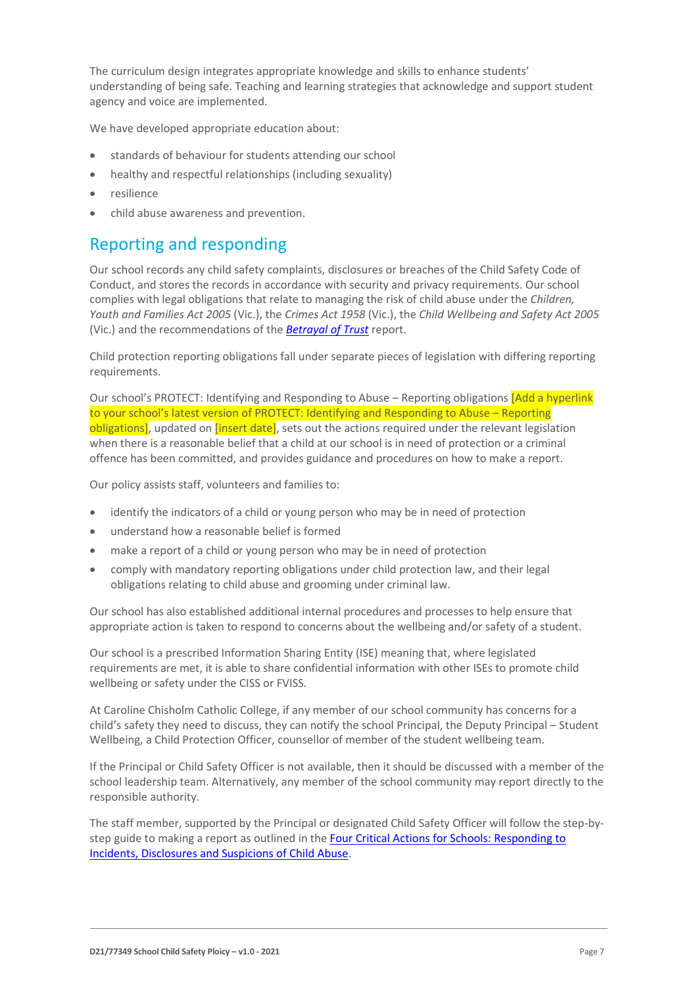The curriculum design integrates appropriate knowledge and skills to enhance students' understanding of being safe. Teaching and learning strategies that acknowledge and support student agency and voice are implemented.

We have developed appropriate education about:

- standards of behaviour for students attending our school
- healthy and respectful relationships (including sexuality)
- resilience
- child abuse awareness and prevention.

### Reporting and responding

Our school records any child safety complaints, disclosures or breaches of the Child Safety Code of Conduct, and stores the records in accordance with security and privacy requirements. Our school complies with legal obligations that relate to managing the risk of child abuse under the *Children, Youth and Families Act 2005* (Vic.), the *Crimes Act 1958* (Vic.), the *Child Wellbeing and Safety Act 2005* (Vic.) and the recommendations of the *[Betrayal of Trust](http://www.parliament.vic.gov.au/fcdc/article/1788)* report.

Child protection reporting obligations fall under separate pieces of legislation with differing reporting requirements.

Our school's PROTECT: Identifying and Responding to Abuse – Reporting obligations *[Add a hyperlink*] to your school's latest version of PROTECT: Identifying and Responding to Abuse – Reporting obligations], updated on *[insert date]*, sets out the actions required under the relevant legislation when there is a reasonable belief that a child at our school is in need of protection or a criminal offence has been committed, and provides guidance and procedures on how to make a report.

Our policy assists staff, volunteers and families to:

- identify the indicators of a child or young person who may be in need of protection
- understand how a reasonable belief is formed
- make a report of a child or young person who may be in need of protection
- comply with mandatory reporting obligations under child protection law, and their legal obligations relating to child abuse and grooming under criminal law.

Our school has also established additional internal procedures and processes to help ensure that appropriate action is taken to respond to concerns about the wellbeing and/or safety of a student.

Our school is a prescribed Information Sharing Entity (ISE) meaning that, where legislated requirements are met, it is able to share confidential information with other ISEs to promote child wellbeing or safety under the CISS or FVISS.

At Caroline Chisholm Catholic College, if any member of our school community has concerns for a child's safety they need to discuss, they can notify the school Principal, the Deputy Principal – Student Wellbeing, a Child Protection Officer, counsellor of member of the student wellbeing team.

If the Principal or Child Safety Officer is not available, then it should be discussed with a member of the school leadership team. Alternatively, any member of the school community may report directly to the responsible authority.

The staff member, supported by the Principal or designated Child Safety Officer will follow the step-bystep guide to making a report as outlined in th[e Four Critical Actions for Schools: Responding to](https://www.education.vic.gov.au/Documents/about/programs/health/protect/FourCriticalActions_ChildAbuse.pdf)  [Incidents, Disclosures and Suspicions of Child Abuse.](https://www.education.vic.gov.au/Documents/about/programs/health/protect/FourCriticalActions_ChildAbuse.pdf)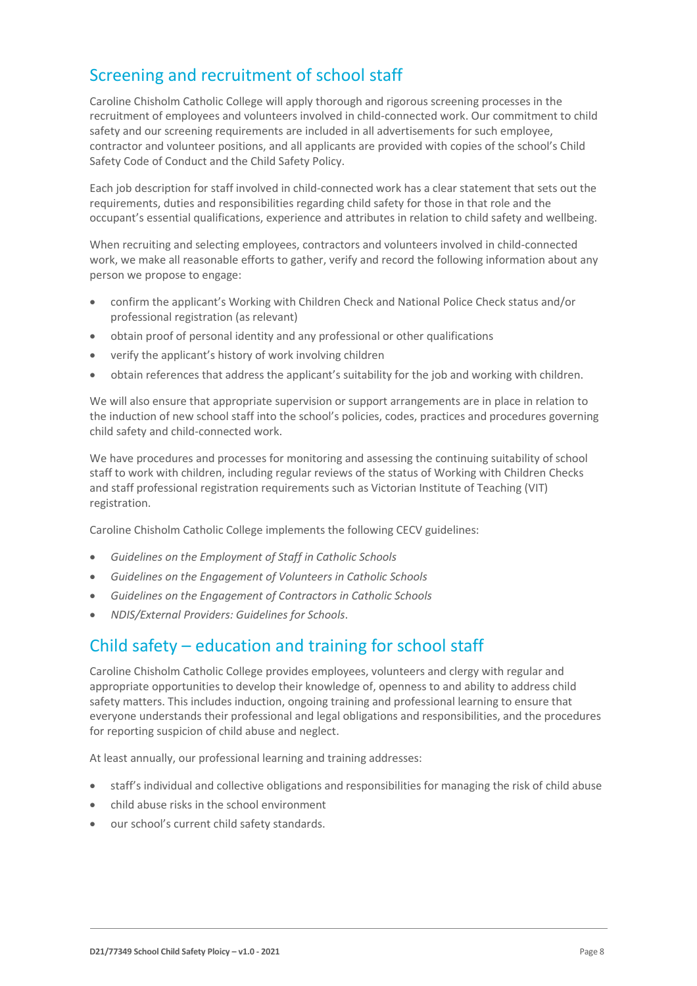# Screening and recruitment of school staff

Caroline Chisholm Catholic College will apply thorough and rigorous screening processes in the recruitment of employees and volunteers involved in child-connected work. Our commitment to child safety and our screening requirements are included in all advertisements for such employee, contractor and volunteer positions, and all applicants are provided with copies of the school's Child Safety Code of Conduct and the Child Safety Policy.

Each job description for staff involved in child-connected work has a clear statement that sets out the requirements, duties and responsibilities regarding child safety for those in that role and the occupant's essential qualifications, experience and attributes in relation to child safety and wellbeing.

When recruiting and selecting employees, contractors and volunteers involved in child-connected work, we make all reasonable efforts to gather, verify and record the following information about any person we propose to engage:

- confirm the applicant's Working with Children Check and National Police Check status and/or professional registration (as relevant)
- obtain proof of personal identity and any professional or other qualifications
- verify the applicant's history of work involving children
- obtain references that address the applicant's suitability for the job and working with children.

We will also ensure that appropriate supervision or support arrangements are in place in relation to the induction of new school staff into the school's policies, codes, practices and procedures governing child safety and child-connected work.

We have procedures and processes for monitoring and assessing the continuing suitability of school staff to work with children, including regular reviews of the status of Working with Children Checks and staff professional registration requirements such as Victorian Institute of Teaching (VIT) registration.

Caroline Chisholm Catholic College implements the following CECV guidelines:

- *Guidelines on the Employment of Staff in Catholic Schools*
- *Guidelines on the Engagement of Volunteers in Catholic Schools*
- *Guidelines on the Engagement of Contractors in Catholic Schools*
- *NDIS/External Providers: Guidelines for Schools*.

### Child safety – education and training for school staff

Caroline Chisholm Catholic College provides employees, volunteers and clergy with regular and appropriate opportunities to develop their knowledge of, openness to and ability to address child safety matters. This includes induction, ongoing training and professional learning to ensure that everyone understands their professional and legal obligations and responsibilities, and the procedures for reporting suspicion of child abuse and neglect.

At least annually, our professional learning and training addresses:

- staff's individual and collective obligations and responsibilities for managing the risk of child abuse
- child abuse risks in the school environment
- our school's current child safety standards.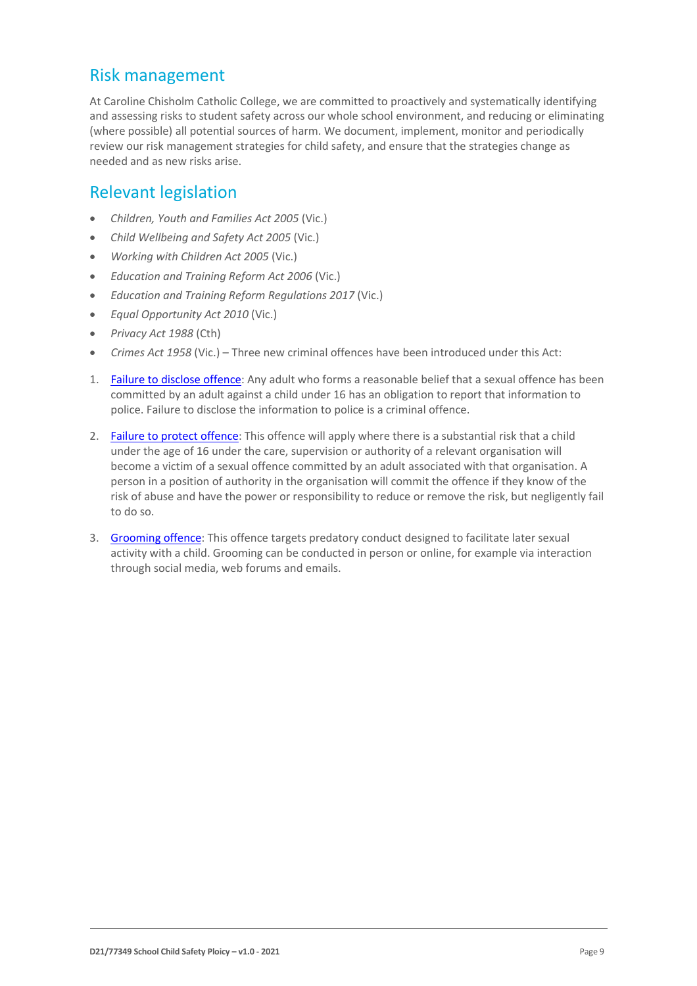### Risk management

At Caroline Chisholm Catholic College, we are committed to proactively and systematically identifying and assessing risks to student safety across our whole school environment, and reducing or eliminating (where possible) all potential sources of harm. We document, implement, monitor and periodically review our risk management strategies for child safety, and ensure that the strategies change as needed and as new risks arise.

### Relevant legislation

- *Children, Youth and Families Act 2005* (Vic.)
- *Child Wellbeing and Safety Act 2005* (Vic.)
- *Working with Children Act 2005* (Vic.)
- *Education and Training Reform Act 2006* (Vic.)
- *Education and Training Reform Regulations 2017* (Vic.)
- *Equal Opportunity Act 2010* (Vic.)
- *Privacy Act 1988* (Cth)
- *Crimes Act 1958* (Vic.) Three new criminal offences have been introduced under this Act:
- 1. [Failure to disclose offence:](https://www.justice.vic.gov.au/safer-communities/protecting-children-and-families/failure-to-disclose-offence#%3A%7E%3Atext%3DIn%202014%2C%20the%20law%20in%20Victoria%20was%20changed%2Coffended%20against%20a%20child%20under%2016%20in%20Victoria) Any adult who forms a reasonable belief that a sexual offence has been committed by an adult against a child under 16 has an obligation to report that information to police. Failure to disclose the information to police is a criminal offence.
- 2. [Failure to protect offence:](https://www.justice.vic.gov.au/safer-communities/protecting-children-and-families/failure-to-protect-a-new-criminal-offence-to#%3A%7E%3Atext%3DFailure%20to%20protect%3A%20a%20new%20criminal%20offence%20to%2Cfrom%20sexual%20abuse%20and%20exposure%20to%20sexual%20offenders) This offence will apply where there is a substantial risk that a child under the age of 16 under the care, supervision or authority of a relevant organisation will become a victim of a sexual offence committed by an adult associated with that organisation. A person in a position of authority in the organisation will commit the offence if they know of the risk of abuse and have the power or responsibility to reduce or remove the risk, but negligently fail to do so.
- 3. [Grooming offence:](https://www.justice.vic.gov.au/safer-communities/protecting-children-and-families/grooming-offence) This offence targets predatory conduct designed to facilitate later sexual activity with a child. Grooming can be conducted in person or online, for example via interaction through social media, web forums and emails.